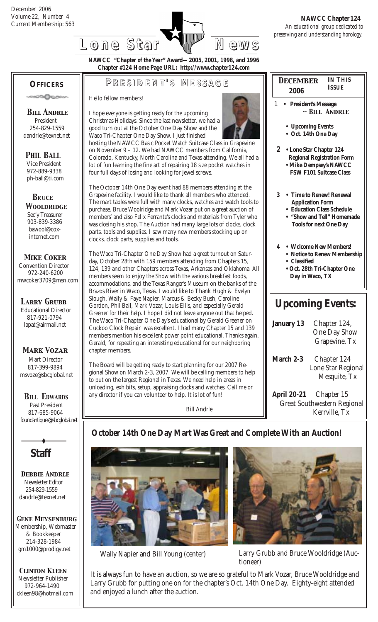

 *December* **2006**

**IN THIS ISSUE**

**NAWCC "***Chapter of the Year***" Award—2005, 2001, 1998, and 1996 Chapter #124 Home Page URL: http://www.chapter124.com**

#### **OFFICERS**

ാരമികാരം

 *Bill Andrle* President 254-829-1559 dandrle@texnet.net

 *PHIL BALL* Vice President 972-889-9338 ph-ball@ti.com

 *BRuce Wooldridge* Sec'y Treasurer 903-839-3386 bawool@cox internet.com

**P RESIDENT RESIDENT' S M ESSAGE**

Hello fellow members!

I hope everyone is getting ready for the upcoming Christmas Holidays. Since the last newsletter, we had a good turn out at the October One Day Show and the Waco Tri-Chapter One Day Show. I just finished

hosting the NAWCC Basic Pocket Watch Suitcase Class in Grapevine on November 9 – 12. We had NAWCC members from California, Colorado, Kentucky, North Carolina and Texas attending. We all had lot of fun learning the fine art of repairing 18 size pocket watches in four full days of losing and looking for jewel screws.

The October 14th One Day event had 88 members attending at the Grapevine facility. I would like to thank all members who attended. The mart tables were full with many clocks, watches and watch tools purchase. Bruce Woolridge and Mark Vozar put on a great auction of members' and also Felix Ferrante's clocks and materials from Tyler wh was closing his shop. The Auction had many large lots of clocks, clocl parts, tools and supplies. I saw many new members stocking up on clocks, clock parts, supplies and tools.

The Waco Tri-Chapter One Day Show had a great turnout on Saturday, October 28th with 159 members attending from Chapters 15, 124, 139 and other Chapters across Texas, Arkansas and Oklahoma. members seem to enjoy the Show with the various breakfast foods, accommodations, and the Texas Ranger's Museum on the banks of th Brazos River in Waco, Texas. I would like to Thank Hugh & Evelyn Slough, Wally & Faye Napier, Marcus & Becky Bush, Caroline Gordon, Phil Ball, Mark Vozar, Louis Ellis, and especially Gerald Greener for their help. I hope I did not leave anyone out that helped. The Waco Tri-Chapter One Day's educational by Gerald Greener on Cuckoo Clock Repair was excellent. I had many Chapter 15 and 139 members mention his excellent power point educational. Thanks agai Gerald, for repeating an interesting educational for our neighboring chapter members.

The Board will be getting ready to start planning for our 2007 Regional Show on March 2-3, 2007. We will be calling members to help to put on the largest Regional in Texas. We need help in areas in unloading, exhibits, setup, appraising clocks and watches. Call me or any director if you can volunteer to help. It is lot of fun!

Bill Andrle

|                                | $\mathbf{1}$<br><b>President's Message</b><br>$\sim$ BILL ANDRLE                                                                                              |  |  |  |  |  |
|--------------------------------|---------------------------------------------------------------------------------------------------------------------------------------------------------------|--|--|--|--|--|
|                                | • Upcoming Events<br>• Oct. 14th One Day                                                                                                                      |  |  |  |  |  |
| ë<br>l a                       | $\mathbf{2}$<br>• Lone Star Chapter 124<br><b>Regional Registration Form</b><br>• Mike Dempsey's NAWCC<br><b>FSW F101 Suitcase Class</b>                      |  |  |  |  |  |
| to<br>10<br>k                  | 3<br><b>Time to Renew! Renewal</b><br><b>Application Form</b><br><b>Education Class Schedule</b><br>"Show and Tell" Homemade<br><b>Tools for next One Day</b> |  |  |  |  |  |
| All<br>ιė                      | $\overline{4}$<br>• Wclcome New Members!<br>• Notice to Renew Membership<br><b>Classified</b><br>$\bullet$<br>· Oct. 28th Tri-Chapter One<br>Day in Waco, TX  |  |  |  |  |  |
|                                | <b>Upcoming Events:</b>                                                                                                                                       |  |  |  |  |  |
| $\overline{\mathbf{y}}$<br>in, | <b>January 13</b><br>Chapter 124,<br><b>One Day Show</b><br>Grapevine, Tx                                                                                     |  |  |  |  |  |
| p                              | March 2-3<br>Chapter 124<br>Lone Star Regional<br>Mesquite, Tx                                                                                                |  |  |  |  |  |
|                                |                                                                                                                                                               |  |  |  |  |  |

**April 20-21** Chapter 15 Great Southwestern Regional Kerrville, Tx

### **October 14th One Day Mart Was Great and Complete With an Auction!**





 Wally Napier and Bill Young (center) Larry Grubb and Bruce Wooldridge (Auctioneer)

It is always fun to have an auction, so we are so grateful to Mark Vozar, Bruce Wooldridge and Larry Grubb for putting one on for the chapter's Oct. 14th One Day. Eighty-eight attended and enjoyed a lunch after the auction.

### msvoze@sbcglobal.net *BILL EDWARDS*

 *Mark Vozar* Mart Director 817-399-9894

*Larry Grubb* Educational Director 817-921-0794 lapat@airmail.net

 *Mike Coker* Convention Director 972-240-6200 mwcoker3709@msn.com

 Past President 817-685-9064 foundantiques@sbcglobal.net

**Staff**

 *Debbie Andrle* Newsletter Editor 254-829-1559 dandrle@texnet.net

*Gene Meysenburg* Membership, Webmaster & Bookkeeper 214-328-1984 gm1000@prodigy.net

 *Clinton Kleen* Newsletter Publisher 972-964-1490 ckleen98@hotmail.com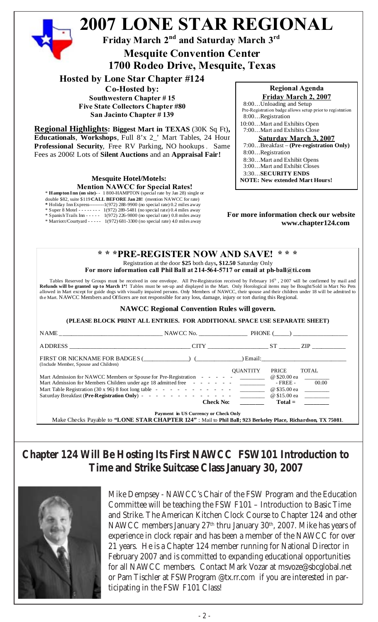

**Regional Highlights: Biggest Mart in TEXAS** (30K Sq Ft)**, Educationals**, **Workshops**, Full 8'x 2\_' Mart Tables, 24 Hour **Professional Security**, Free RV Parking, NO hookups . Same Fees as 2006! Lots of **Silent Auctions** and an **Appraisal Fair!**

> **Mesquite Hotel/Motels: Mention NAWCC for Special Rates!**

\* **Hampton Inn (on site)**- - 1 800-HAMPTON (special rate by Jan 28) single or

double \$82, suite \$119 **CALL BEFORE Jan 28!** (mention NAWCC for rate)

**\*** Holiday Inn Express---------1(972) 288-9900 (no special rate) 0.2 miles away

\* Super 8 Motel - - - - - - - - 1(972) 289-5481 (no special rate) 0.4 miles away \* Spanish Trails Inn - - - - - 1(972) 226-9800 (no special rate) 0.8 miles away

\* Marriott/Courtyard - - - - - 1(972) 681-3300 (no special rate) 4.0 miles away

Pre-Registration badge allows setup prior to registration 7:00…Mart and Exhibits Close **Saturday March 3, 2007** 7:00…Breakfast – **(Pre-registration Only)** 8:00…Registration 8:30…Mart and Exhibit Opens 3:00…Mart and Exhibit Closes 3:30…**SECURITY ENDS NOTE: New extended Mart Hours!**

#### **For more information check our website www.chapter124.com**

#### **\* \* \*PRE-REGISTER NOW AND SAVE! \* \* \*** Registration at the door **\$25** both days**, \$12.50** Saturday Only

**For more information call Phil Ball at 214-564-5717 or email at ph-ball@ti.com**

Tables Reserved by Groups must be received in one envelope. All Pre-Registration received by February 16<sup>h</sup>, 2007 will be confirmed by mail and Refunds will be granted up to March 1<sup>s</sup>! Tables must be set-up and displayed in the Mart. Only Horological items may be Bought/Sold in Mart No Pets allowed in Mart except for guide dogs with visually impaired persons. Only Members of NAWCC, their spouse and their children under 18 will be admitted to the Mart. NAWCC Members and Officers are not responsible for any loss, damage, injury or tort during this Regional.

#### **NAWCC Regional Convention Rules will govern.**

**(PLEASE BLOCK PRINT ALL ENTRIES. FOR ADDITIONAL SPACE USE SEPARATE SHEET)**

|                                                                                                                                                                                                                                | NAWCC No. PHONE ( )                  |                 |                                       |                           |
|--------------------------------------------------------------------------------------------------------------------------------------------------------------------------------------------------------------------------------|--------------------------------------|-----------------|---------------------------------------|---------------------------|
| ADDRESS AND ARRAIGNMENT AND THE STATE OF THE STATE OF THE STATE OF THE STATE OF THE STATE OF THE STATE OF THE STATE OF THE STATE OF THE STATE OF THE STATE OF THE STATE OF THE STATE OF THE STATE OF THE STATE OF THE STATE OF | CITY ST                              |                 |                                       | ZIP 200                   |
| FIRST OR NICKNAME FOR BADGES ( ) (<br>(Include Member, Spouse and Children)                                                                                                                                                    |                                      |                 |                                       |                           |
| Mart Admission for NAWCC Members or Spouse for Pre-Registration - - - - - - ________<br>Mart Admission for Members Children under age 18 admitted free $\cdot \cdot \cdot \cdot \cdot \cdot$ _________                         |                                      | <b>OUANTITY</b> | PRICE<br>@ \$20.00 ea<br>$-$ FREE $-$ | <b>TOTAL</b><br>00.00     |
|                                                                                                                                                                                                                                | <b>Check No:</b>                     |                 | @ \$35.00 ea                          | @ \$15.00 ea<br>$Total =$ |
| Make Checks Payable to "LONE STAR CHAPTER 124": Mail to Phil Ball; 923 Berkeley Place, Richardson, TX 75081.                                                                                                                   | Payment in US Currency or Check Only |                 |                                       |                           |

### **Chapter 124 Will Be Hosting Its First NAWCC FSW101 Introduction to Time and Strike Suitcase Class January 30, 2007**



Mike Dempsey - NAWCC's Chair of the FSW Program and the Education Committee will be teaching the FSW F101 – Introduction to Basic Time and Strike. The American Kitchen Clock Course to Chapter 124 and other NAWCC members January 27<sup>th</sup> thru January 30<sup>th</sup>, 2007. Mike has years of experience in clock repair and has been a member of the NAWCC for over 21 years. He is a Chapter 124 member running for National Director in February 2007 and is committed to expanding educational opportunities for all NAWCC members. Contact Mark Vozar at msvoze@sbcglobal.net or Pam Tischler at FSWProgram @tx.rr.com if you are interested in participating in the FSW F101 Class!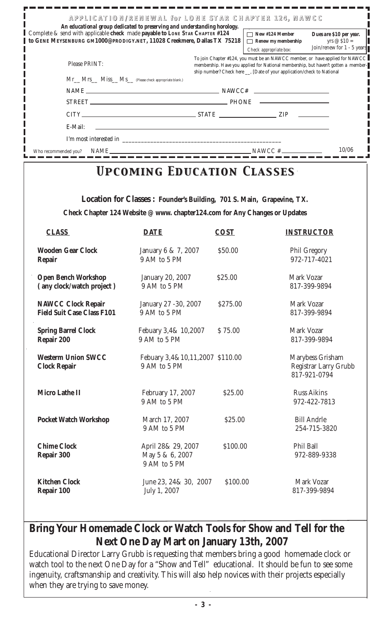| APPLICATION/RENEWAL for LONE STAR CHAPTER 124, NAWCC<br>An educational group dedicated to preserving and understanding horology.                               |  |                                                                                                                                                                                                                                               |                                                                               |  |  |  |  |  |  |
|----------------------------------------------------------------------------------------------------------------------------------------------------------------|--|-----------------------------------------------------------------------------------------------------------------------------------------------------------------------------------------------------------------------------------------------|-------------------------------------------------------------------------------|--|--|--|--|--|--|
| Complete & send with applicable check made payable to <i>LONE STAR CHAPTER</i> #124<br>to GENE MEYSENBURG GM1000@PRODIGY.NET, 11028 Creekmere, Dallas TX 75218 |  | $\Box$ New #124 Member<br>Renew my membership<br>┓<br>Check appropriate box:                                                                                                                                                                  | Dues are \$10 per year.<br>yrs $\oslash$ \$10 =<br>Join/renew for 1 - 5 years |  |  |  |  |  |  |
| <b>Please PRINT:</b>                                                                                                                                           |  | To join Chapter #124, you must be an NAWCC member, or have applied for NAWCC<br>membership. Have you applied for National membership, but haven't gotten a member-<br>ship number? Check here __, [Date of your application/check to National |                                                                               |  |  |  |  |  |  |
| Mr__ Mrs__ Miss__ Ms__ (Please check appropriate blank.)                                                                                                       |  |                                                                                                                                                                                                                                               |                                                                               |  |  |  |  |  |  |
| $NAME \_\_\_\_\_\_$                                                                                                                                            |  |                                                                                                                                                                                                                                               |                                                                               |  |  |  |  |  |  |
|                                                                                                                                                                |  |                                                                                                                                                                                                                                               |                                                                               |  |  |  |  |  |  |
|                                                                                                                                                                |  |                                                                                                                                                                                                                                               |                                                                               |  |  |  |  |  |  |
| E-Mail:                                                                                                                                                        |  |                                                                                                                                                                                                                                               |                                                                               |  |  |  |  |  |  |
| I'm most interested in                                                                                                                                         |  |                                                                                                                                                                                                                                               |                                                                               |  |  |  |  |  |  |
| NAME <b>SECURE AND SECURE AND SECURE AND SECURE AND SECURE AND SECURE AND SECURE AND SECURE AND SECURE AND SECURE</b><br>Who recommended you?                  |  | $NAWCC \#$                                                                                                                                                                                                                                    | 10/06                                                                         |  |  |  |  |  |  |

## *Upcoming Education Classes Upcoming Education Classes*

**Location for Classes : Founder's Building, 701 S. Main, Grapevine, TX. Check Chapter 124 Website @ www. chapter124.com for Any Changes or Updates**

| <b>CLASS</b>                                     | <b>DATE</b>                                           | <b>COST</b> | <b>INSTRUCTOR</b>                                                |
|--------------------------------------------------|-------------------------------------------------------|-------------|------------------------------------------------------------------|
| <b>Wooden Gear Clock</b>                         | January 6 & 7, 2007                                   | \$50.00     | <b>Phil Gregory</b>                                              |
| <b>Repair</b>                                    | 9 AM to 5 PM                                          |             | 972-717-4021                                                     |
| <b>Open Bench Workshop</b>                       | <b>January 20, 2007</b>                               | \$25.00     | <b>Mark Vozar</b>                                                |
| (any clock/watch project)                        | 9 AM to 5 PM                                          |             | 817-399-9894                                                     |
| <b>NAWCC Clock Repair</b>                        | January 27 - 30, 2007                                 | \$275.00    | <b>Mark Vozar</b>                                                |
| <b>Field Suit Case Class F101</b>                | 9 AM to 5 PM                                          |             | 817-399-9894                                                     |
| <b>Spring Barrel Clock</b>                       | Febuary 3,4& 10,2007                                  | \$75.00     | Mark Vozar                                                       |
| Repair 200                                       | 9 AM to 5 PM                                          |             | 817-399-9894                                                     |
| <b>Westerm Union SWCC</b><br><b>Clock Repair</b> | Febuary 3,4&10,11,2007 \$110.00<br>9 AM to 5 PM       |             | Marybess Grisham<br><b>Registrar Larry Grubb</b><br>817-921-0794 |
| <b>Micro Lathe II</b>                            | February 17, 2007<br>9 AM to 5 PM                     | \$25.00     | <b>Russ Aikins</b><br>972-422-7813                               |
| <b>Pocket Watch Workshop</b>                     | March 17, 2007<br>9 AM to 5 PM                        | \$25.00     | <b>Bill Andrle</b><br>254-715-3820                               |
| <b>Chime Clock</b><br>Repair 300                 | April 28& 29, 2007<br>May 5 & 6, 2007<br>9 AM to 5 PM | \$100.00    | <b>Phil Ball</b><br>972-889-9338                                 |
| <b>Kitchen Clock</b>                             | June 23, 24& 30, 2007                                 | \$100.00    | <b>Mark Vozar</b>                                                |
| Repair 100                                       | July 1, 2007                                          |             | 817-399-9894                                                     |

### **Bring Your Homemade Clock or Watch Tools for Show and Tell for the Next One Day Mart on January 13th, 2007**

Educational Director Larry Grubb is requesting that members bring a good homemade clock or watch tool to the next One Day for a "Show and Tell" educational. It should be fun to see some ingenuity, craftsmanship and creativity. This will also help novices with their projects especially when they are trying to save money.